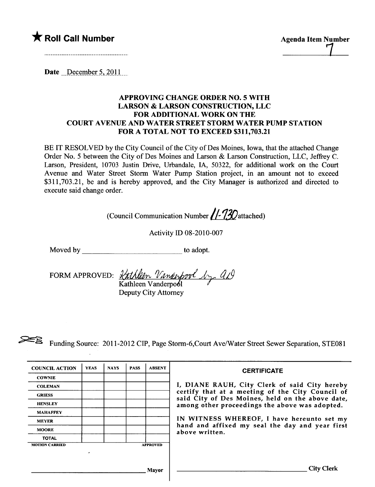# \* Roll Call Number Agenda Item Number

**525** 

**COWNIE** 

MAHAFFEY

TOTAL

MOTION CARRIED **APPROVED** .

**MOORE** 

Date  $December~5,2011$ 

# APPROVING CHANGE ORDER NO.5 WITH LARSON & LARSON CONSTRUCTION, LLC FOR ADDITIONAL WORK ON THE COURT AVENUE AND WATER STREET STORM WATER PUMP STATION FOR A TOTAL NOT TO EXCEED \$311,703.21

BE IT RESOLVED by the City Council of the City of Des Moines, Iowa, that the attached Change Order No. 5 between the City of Des Moines and Larson & Larson Construction, LLC, Jeffrey C. Larson, President, 10703 Justin Drive, Urbandale, IA, 50322, for additional work on the Court Avenue and Water Street Storm Water Pump Station project, in an amount not to exceed \$311,703.21, be and is hereby approved, and the City Manager is authorized and directed to execute said change order.

| (Council Communication Number //-130 attached) |                                                                                 |             |             |             |               |                                                                                              |  |  |  |  |
|------------------------------------------------|---------------------------------------------------------------------------------|-------------|-------------|-------------|---------------|----------------------------------------------------------------------------------------------|--|--|--|--|
| <b>Activity ID 08-2010-007</b>                 |                                                                                 |             |             |             |               |                                                                                              |  |  |  |  |
|                                                | Moved by                                                                        |             |             |             |               | to adopt.                                                                                    |  |  |  |  |
|                                                | FORM APPROVED: <i><u>Kathleen Vanderpool</u></i> by all<br>Deputy City Attorney |             |             |             |               |                                                                                              |  |  |  |  |
|                                                |                                                                                 |             |             |             |               | Funding Source: 2011-2012 CIP, Page Storm-6, Court Ave/Water Street Sewer Separation, STE081 |  |  |  |  |
|                                                | <b>COUNCIL ACTION</b>                                                           | <b>YEAS</b> | <b>NAYS</b> | <b>PASS</b> | <b>ABSENT</b> | <b>CERTIFICATE</b>                                                                           |  |  |  |  |

COLEMAN I, DIANE RAUH, City Clerk of said City hereby GRIESS certify that at a meeting of the City Council of said City of Des Moines, held on the above date, HENSLEY **among other proceedings the above was adopted.** 

MEYER **IN WITNESS WHEREOF**, I have hereunto set my hand and affixed my seal the day and year first above written.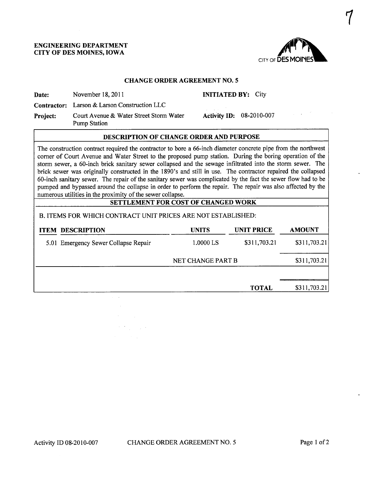#### ENGINEERING DEPARTMENT CITY OF DES MOINES, IOWA



 $\mathcal{U}$ 

#### CHANGE ORDER AGREEMENT NO.5

Date: November 18, 2011 **INITIATED BY:** City

Contractor: Larson & Larson Construction LLC

Project: Court Avenue & Water Street Storm Water Pump Station

ACtivity ID: 08-2010-007

## DESCRIPTION OF CHANGE ORDER AND PURPOSE

The construction contract required the contractor to bore a 66-inch diameter concrete pipe from the northwest corner of Court Avenue and Water Street to the proposed pump station. During the boring operation of the storm sewer, a 60-inch brick sanitary sewer collapsed and the sewage infiltrated into the storm sewer. The brick sewer was originally constructed in the 1890's and still in use. The contractor repaired the collapsed 60-inch sanitary sewer. The repair of the sanitary sewer was complicated by the fact the sewer flow had to be pumped and bypassed around the collapse in order to perform the repair. The repair was also affected by the numerous utilties in the proximity of the sewer collapse.

# SETTLEMENT FOR COST OF CHANGED WORK

## B. ITEMS FOR WHICH CONTRACT UNIT PRICES ARE NOT ESTABLISHED:

 $\mathcal{F}(\mathcal{F})$  , and  $\mathcal{F}(\mathcal{F})$ 

| <b>SETTLEMENT FOR COST OF CHANGED WORK</b>                   |                   |                   |               |  |  |  |  |
|--------------------------------------------------------------|-------------------|-------------------|---------------|--|--|--|--|
| B. ITEMS FOR WHICH CONTRACT UNIT PRICES ARE NOT ESTABLISHED: |                   |                   |               |  |  |  |  |
| <b>DESCRIPTION</b><br><b>ITEM</b>                            | <b>UNITS</b>      | <b>UNIT PRICE</b> | <b>AMOUNT</b> |  |  |  |  |
| 5.01 Emergency Sewer Collapse Repair                         | 1.0000 LS         | \$311,703.21      | \$311,703.21  |  |  |  |  |
|                                                              | NET CHANGE PART B |                   | \$311,703.21] |  |  |  |  |
|                                                              |                   |                   |               |  |  |  |  |
|                                                              |                   | <b>TOTAL</b>      | \$311,703.21  |  |  |  |  |